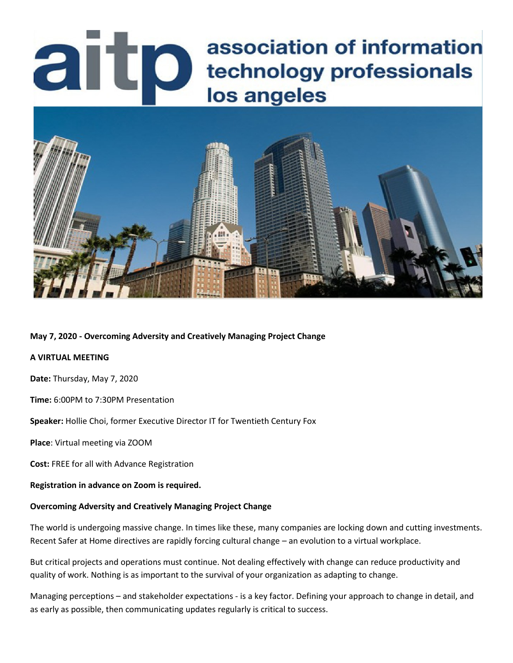# association of information arto technology professionals los angeles



## **May 7, 2020 - Overcoming Adversity and Creatively Managing Project Change**

#### **A VIRTUAL MEETING**

**Date:** Thursday, May 7, 2020

**Time:** 6:00PM to 7:30PM Presentation

**Speaker:** Hollie Choi, former Executive Director IT for Twentieth Century Fox

**Place**: Virtual meeting via ZOOM

**Cost:** FREE for all with Advance Registration

**Registration in advance on Zoom is required.**

## **Overcoming Adversity and Creatively Managing Project Change**

The world is undergoing massive change. In times like these, many companies are locking down and cutting investments. Recent Safer at Home directives are rapidly forcing cultural change – an evolution to a virtual workplace.

But critical projects and operations must continue. Not dealing effectively with change can reduce productivity and quality of work. Nothing is as important to the survival of your organization as adapting to change.

Managing perceptions – and stakeholder expectations - is a key factor. Defining your approach to change in detail, and as early as possible, then communicating updates regularly is critical to success.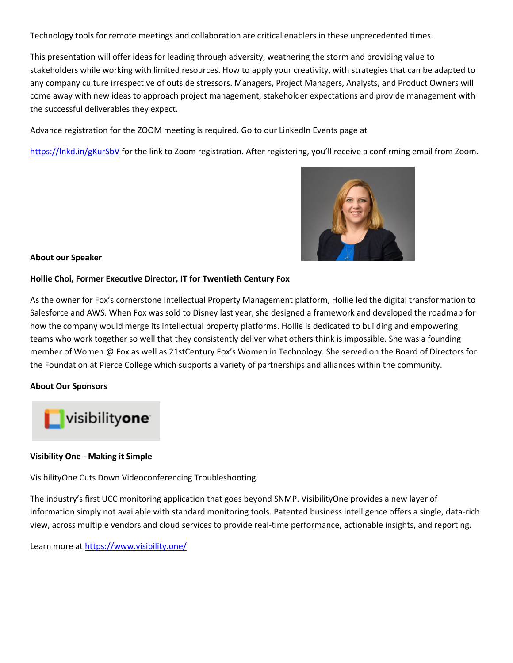Technology tools for remote meetings and collaboration are critical enablers in these unprecedented times.

This presentation will offer ideas for leading through adversity, weathering the storm and providing value to stakeholders while working with limited resources. How to apply your creativity, with strategies that can be adapted to any company culture irrespective of outside stressors. Managers, Project Managers, Analysts, and Product Owners will come away with new ideas to approach project management, stakeholder expectations and provide management with the successful deliverables they expect.

Advance registration for the ZOOM meeting is required. Go to our LinkedIn Events page at

<https://lnkd.in/gKurSbV> for the link to Zoom registration. After registering, you'll receive a confirming email from Zoom.



### **About our Speaker**

### **Hollie Choi, Former Executive Director, IT for Twentieth Century Fox**

As the owner for Fox's cornerstone Intellectual Property Management platform, Hollie led the digital transformation to Salesforce and AWS. When Fox was sold to Disney last year, she designed a framework and developed the roadmap for how the company would merge its intellectual property platforms. Hollie is dedicated to building and empowering teams who work together so well that they consistently deliver what others think is impossible. She was a founding member of Women @ Fox as well as 21stCentury Fox's Women in Technology. She served on the Board of Directors for the Foundation at Pierce College which supports a variety of partnerships and alliances within the community.

## **About Our Sponsors**



## **Visibility One - Making it Simple**

VisibilityOne Cuts Down Videoconferencing Troubleshooting.

The industry's first UCC monitoring application that goes beyond SNMP. VisibilityOne provides a new layer of information simply not available with standard monitoring tools. Patented business intelligence offers a single, data-rich view, across multiple vendors and cloud services to provide real-time performance, actionable insights, and reporting.

Learn more at<https://www.visibility.one/>